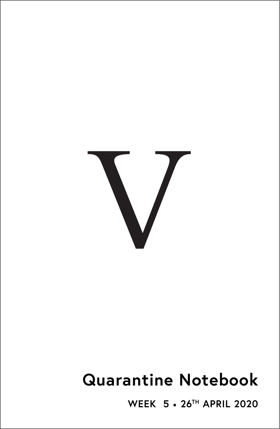

# **Quarantine Notebook**

**WEEK 5** • **26TH APRIL 2020**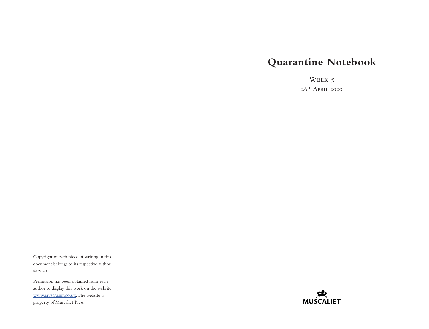# **Quarantine Notebook**

Week 5  $26$ <sup>TH</sup> April 2020

Copyright of each piece of writing in this document belongs to its respective author. © 2020

Permission has been obtained from each author to display this work on the website [www.muscaliet.co.uk.](https://www.muscaliet.co.uk) The website is property of Muscaliet Press.

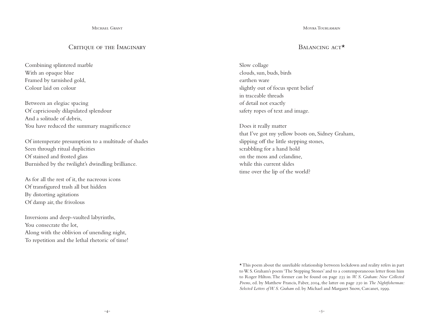Michael Grant

## CRITIOUE OF THE IMAGINARY

Combining splintered marble With an opaque blue Framed by tarnished gold, Colour laid on colour

Between an elegiac spacing Of capriciously dilapidated splendour And a solitude of debris, You have reduced the summary magnificence

Of intemperate presumption to a multitude of shades Seen through ritual duplicities Of stained and frosted glass Burnished by the twilight's dwindling brilliance.

As for all the rest of it, the nacreous icons Of transfigured trash all but hidden By distorting agitations Of damp air, the frivolous

Inversions and deep-vaulted labyrinths, You consecrate the lot, Along with the oblivion of unending night, To repetition and the lethal rhetoric of time! Moyra Tourlamain

# BALANCING ACT<sup>\*</sup>

Slow collage clouds, sun, buds, birds earthen ware slightly out of focus spent belief in traceable threads of detail not exactly safety ropes of text and image.

Does it really matter that I've got my yellow boots on, Sidney Graham, slipping off the little stepping stones, scrabbling for a hand hold on the moss and celandine, while this current slides time over the lip of the world?

\* This poem about the unreliable relationship between lockdown and reality refers in part to W. S. Graham's poem 'The Stepping Stones' and to a contemporaneous letter from him to Roger Hilton. The former can be found on page 235 in *W. S. Graham: New Collected Poems*, ed. by Matthew Francis, Faber, 2004, the latter on page 230 in *The Nightfisherman: Selected Letters of W. S. Graham* ed. by Michael and Margaret Snow, Carcanet, 1999.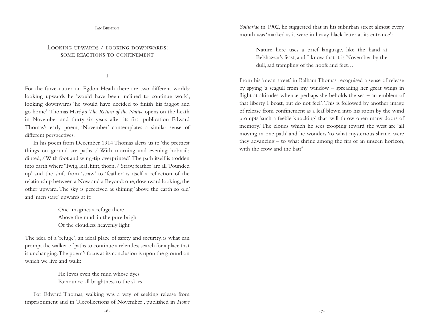Ian Brinton

# LOOKING UPWARDS / LOOKING DOWNWARDS: SOME REACTIONS TO CONFINEMENT

#### I

For the furze-cutter on Egdon Heath there are two different worlds: looking upwards he 'would have been inclined to continue work', looking downwards 'he would have decided to finish his faggot and go home'. Thomas Hardy's *The Return of the Native* opens on the heath in November and thirty-six years after its first publication Edward Thomas's early poem, 'November' contemplates a similar sense of different perspectives.

In his poem from December 1914 Thomas alerts us to 'the prettiest things on ground are paths / With morning and evening hobnails dinted, / With foot and wing-tip overprinted'. The path itself is trodden into earth where 'Twig, leaf, flint, thorn, / Straw, feather' are all 'Pounded up' and the shift from 'straw' to 'feather' is itself a reflection of the relationship between a Now and a Beyond: one, downward looking, the other upward. The sky is perceived as shining 'above the earth so old' and 'men stare' upwards at it:

> One imagines a refuge there Above the mud, in the pure bright Of the cloudless heavenly light

The idea of a 'refuge', an ideal place of safety and security, is what can prompt the walker of paths to continue a relentless search for a place that is unchanging. The poem's focus at its conclusion is upon the ground on which we live and walk:

> He loves even the mud whose dyes Renounce all brightness to the skies.

For Edward Thomas, walking was a way of seeking release from imprisonment and in 'Recollections of November', published in *Horae*  *Solitariae* in 1902, he suggested that in his suburban street almost every month was 'marked as it were in heavy black letter at its entrance':

Nature here uses a brief language, like the hand at Belshazzar's feast, and I know that it is November by the dull, sad trampling of the hoofs and feet…

From his 'mean street' in Balham Thomas recognised a sense of release by spying 'a seagull from my window – spreading her great wings in flight at altitudes whence perhaps she beholds the sea – an emblem of that liberty I boast, but do not feel'. This is followed by another image of release from confinement as a leaf blown into his room by the wind prompts 'such a feeble knocking' that 'will throw open many doors of memory.' The clouds which he sees trooping toward the west are 'all moving in one path' and he wonders 'to what mysterious shrine, were they advancing – to what shrine among the firs of an unseen horizon, with the crow and the bat?'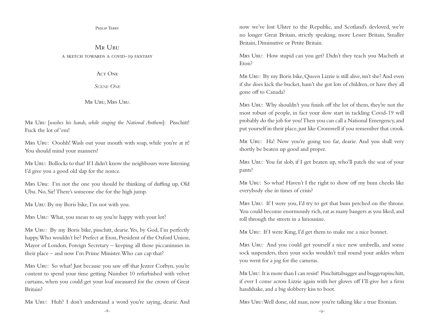Philip Terry

MR UBU a sketch towards a covid-19 fantasy

 $ACT$  ONE

*Scene One*

Mr Ubu, Mrs Ubu.

Mr Ubu [*washes his hands, while singing the National Anthem*]: Pisschitt! Fuck the lot of 'em!

Mrs Ubu: Ooohh! Wash out your mouth with soap, while you're at it! You should mind your manners!

Mr Ubu: Bollocks to that! If I didn't know the neighbours were listening I'd give you a good old slap for the nonce.

Mrs Ubu: I'm not the one you should be thinking of duffing up, Old Ubu. No, Sir! There's someone else for the high jump.

Mr Ubu: By my Boris bike, I'm not with you.

Mrs Ubu: What, you mean to say you're happy with your lot?

Mr Ubu: By my Boris bike, pisschitt, dearie. Yes, by God, I'm perfectly happy. Who wouldn't be? Prefect at Eton, President of the Oxford Union, Mayor of London, Foreign Secretary – keeping all those piccaninnies in their place – and now I'm Prime Minister. Who can cap that?

Mrs Ubu: So what! Just because you saw off that Jezzer Corbyn, you're content to spend your time getting Number 10 refurbished with velvet curtains, when you could get your loaf measured for the crown of Great Britain?

Mr Ubu: Huh? I don't understand a word you're saying, dearie. And

now we've lost Ulster to the Republic, and Scotland's devloved, we're no longer Great Britain, strictly speaking, more Lesser Britain, Smaller Britain, Diminutive or Petite Britain.

Mrs Ubu: How stupid can you get? Didn't they teach you Macbeth at Eton?

Mr Ubu: By my Boris bike, Queen Lizzie is still alive, isn't she? And even if she does kick the bucket, hasn't she got lots of children, or have they all gone off to Canada?

Mrs Ubu: Why shouldn't you finish off the lot of them, they're not the most robust of people, in fact your slow start in tackling Covid-19 will probably do the job for you! Then you can call a National Emergency, and put yourself in their place, just like Cromwell if you remember that crook.

Mr Ubu: Ha! Now you're going too far, dearie. And you shall very shortly be beaten up good and proper.

Mrs Ubu: You fat slob, if I get beaten up, who'll patch the seat of your pants?

Mr Ubu: So what! Haven't I the right to show off my bum cheeks like everybody else in times of crisis?

Mrs Ubu: If I were you, I'd try to get that bum perched on the throne. You could become enormously rich, eat as many bangers as you liked, and roll through the streets in a limousine.

Mr Ubu: If I were King, I'd get them to make me a nice bonnet.

Mrs Ubu: And you could get yourself a nice new umbrella, and some sock suspenders, then your socks wouldn't trail round your ankles when you went for a jog for the cameras.

Mr Ubu: It is more than I can resist! Pisschittabugger and buggerapisschitt, if ever I come across Lizzie again with her gloves off I'll give her a firm handshake, and a big slobbery kiss to boot.

Mrs Ubu: Well done, old man, now you're talking like a true Etonian.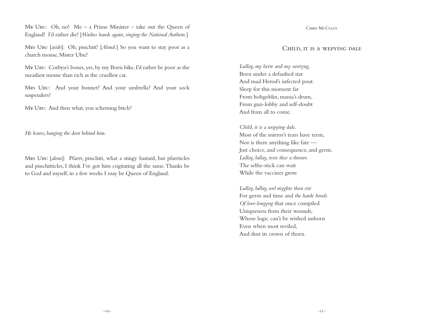Mr Ubu: Oh, no! Me – a Prime Minister – take out the Queen of England! I'd rather die! [*Washes hands again, singing the National Anthem.*]

Mrs Ubu [*aside*]: Oh, pisschitt! [*Aloud.*] So you want to stay poor as a church mouse, Mister Ubu?

Mr Ubu: Corbyn's bones, yes, by my Boris bike, I'd rather be poor as the measliest mouse than rich as the cruellest cat.

Mrs Ubu: And your bonnet? And your umbrella? And your sock suspenders?

MR UBU: And then what, you scheming bitch?

*He leaves, banging the door behind him.*

Mrs Ubu [*alone*]: Pfarrt, pisschitt, what a stingy bastard, but pfarrticles and pisschitticles, I think I've got him cogitating all the same. Thanks be to God and myself, in a few weeks I may be Queen of England.

CHRIS McCully

#### Child, it is a wepying dale

*Lullay, my herte and my swetyng,* Born under a defaulted star And mad Herod's infected pout. Sleep for this moment far From hobgoblin, mania's drum, From gun-lobby and self-doubt And from all to come.

## *Child, it is a wepying dale.*

Most of the mirror's tears have term, Nor is there anything like fate — Just choice, and consequence, and germ. *Lullay, lullay, reste thee a throwe.* The selfie-stick can wait While the vaccines grow.

*Lullay, lullay, wel myghte thou crie* For germ and time and *the harde bonds Of love-longyng* that once compiled Uniqueness from their wounds, Whose logic can't be wished unborn Even when most reviled, And dust its crown of thorn.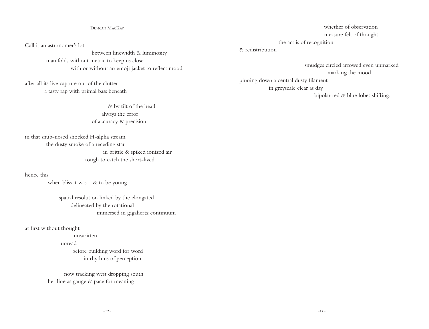#### Duncan MacKay

Call it an astronomer's lot

 between linewidth & luminosity manifolds without metric to keep us close with or without an emoji jacket to reflect mood

after all its live capture out of the clutter a tasty rap with primal bass beneath

> & by tilt of the head always the error of accuracy & precision

in that snub-nosed shocked H-alpha stream the dusty smoke of a receding star in brittle & spiked ionized air tough to catch the short-lived

hence this

when bliss it was & to be young

 spatial resolution linked by the elongated delineated by the rotational immersed in gigahertz continuum

at first without thought

 unwritten unread before building word for word in rhythms of perception

 now tracking west dropping south her line as gauge & pace for meaning

 whether of observation measure felt of thought the act is of recognition

& redistribution

 smudges circled arrowed even unmarked marking the mood pinning down a central dusty filament in greyscale clear as day bipolar red & blue lobes shifting.